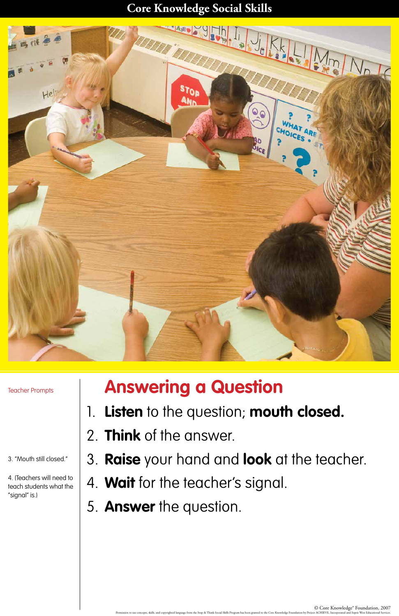## **Core Knowledge Social Skills**



Teacher Prompts

3. "Mouth still closed."

4. (Teachers will need to teach students what the "signal" is.)

## **Answering a Question**

- 1. **Listen** to the question; **mouth closed.**
- 2. **Think** of the answer.

3. **Raise** your hand and **look** at the teacher.

- 4. **Wait** for the teacher's signal.
- 5. **Answer** the question.